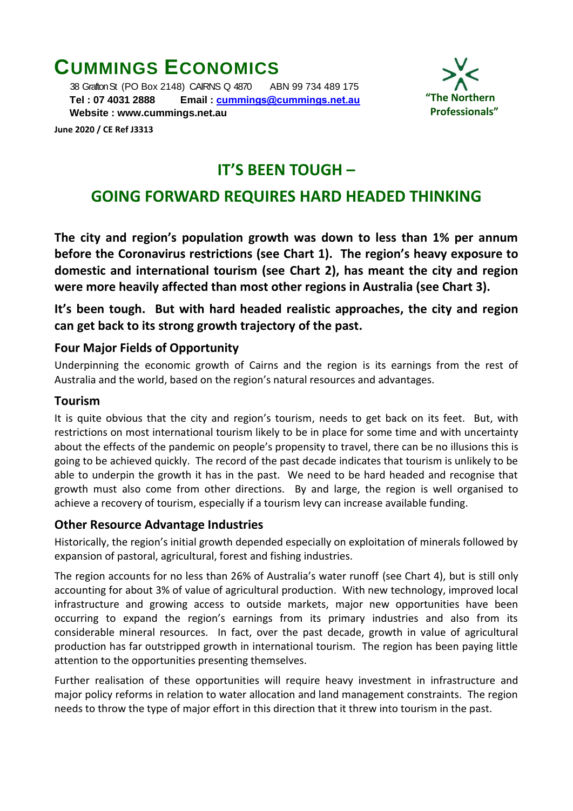# **CUMMINGS ECONOMICS**

 38 Grafton St (PO Box 2148) CAIRNS Q 4870 ABN 99 734 489 175  **Tel : 07 4031 2888 Email : [cummings@cummings.net.au](mailto:cummings@cummings.net.au) Website : www.cummings.net.au**



**June 2020 / CE Ref J3313**

# **IT'S BEEN TOUGH –**

# **GOING FORWARD REQUIRES HARD HEADED THINKING**

**The city and region's population growth was down to less than 1% per annum before the Coronavirus restrictions (see Chart 1). The region's heavy exposure to domestic and international tourism (see Chart 2), has meant the city and region were more heavily affected than most other regions in Australia (see Chart 3).**

**It's been tough. But with hard headed realistic approaches, the city and region can get back to its strong growth trajectory of the past.**

# **Four Major Fields of Opportunity**

Underpinning the economic growth of Cairns and the region is its earnings from the rest of Australia and the world, based on the region's natural resources and advantages.

# **Tourism**

It is quite obvious that the city and region's tourism, needs to get back on its feet. But, with restrictions on most international tourism likely to be in place for some time and with uncertainty about the effects of the pandemic on people's propensity to travel, there can be no illusions this is going to be achieved quickly. The record of the past decade indicates that tourism is unlikely to be able to underpin the growth it has in the past. We need to be hard headed and recognise that growth must also come from other directions. By and large, the region is well organised to achieve a recovery of tourism, especially if a tourism levy can increase available funding.

### **Other Resource Advantage Industries**

Historically, the region's initial growth depended especially on exploitation of minerals followed by expansion of pastoral, agricultural, forest and fishing industries.

The region accounts for no less than 26% of Australia's water runoff (see Chart 4), but is still only accounting for about 3% of value of agricultural production. With new technology, improved local infrastructure and growing access to outside markets, major new opportunities have been occurring to expand the region's earnings from its primary industries and also from its considerable mineral resources. In fact, over the past decade, growth in value of agricultural production has far outstripped growth in international tourism. The region has been paying little attention to the opportunities presenting themselves.

Further realisation of these opportunities will require heavy investment in infrastructure and major policy reforms in relation to water allocation and land management constraints. The region needs to throw the type of major effort in this direction that it threw into tourism in the past.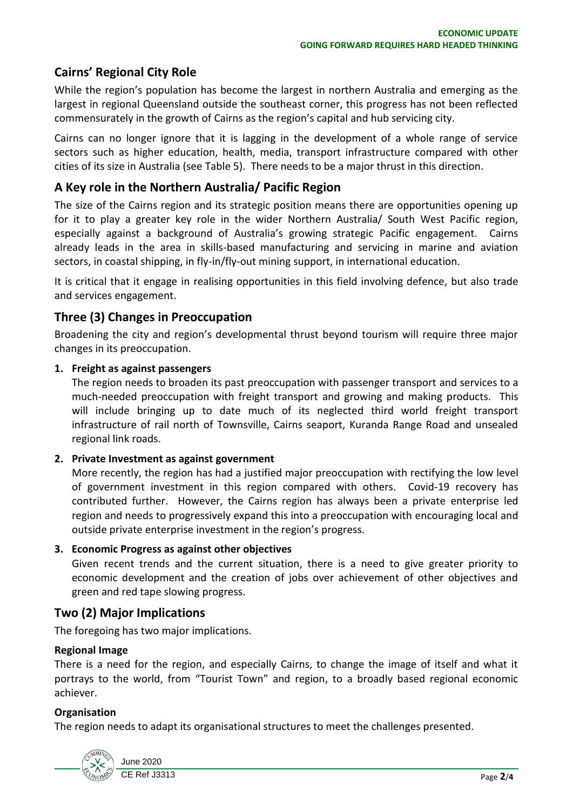# **Cairns' Regional City Role**

While the region's population has become the largest in northern Australia and emerging as the largest in regional Queensland outside the southeast corner, this progress has not been reflected commensurately in the growth of Cairns as the region's capital and hub servicing city.

Cairns can no longer ignore that it is lagging in the development of a whole range of service sectors such as higher education, health, media, transport infrastructure compared with other cities of its size in Australia (see Table 5). There needs to be a major thrust in this direction.

#### **A Key role in the Northern Australia/ Pacific Region**

The size of the Cairns region and its strategic position means there are opportunities opening up for it to play a greater key role in the wider Northern Australia/ South West Pacific region, especially against a background of Australia's growing strategic Pacific engagement. Cairns already leads in the area in skills-based manufacturing and servicing in marine and aviation sectors, in coastal shipping, in fly-in/fly-out mining support, in international education.

It is critical that it engage in realising opportunities in this field involving defence, but also trade and services engagement.

### **Three (3) Changes in Preoccupation**

Broadening the city and region's developmental thrust beyond tourism will require three major changes in its preoccupation.

#### **1. Freight as against passengers**

The region needs to broaden its past preoccupation with passenger transport and services to a much-needed preoccupation with freight transport and growing and making products. This will include bringing up to date much of its neglected third world freight transport infrastructure of rail north of Townsville, Cairns seaport, Kuranda Range Road and unsealed regional link roads.

#### **2. Private Investment as against government**

More recently, the region has had a justified major preoccupation with rectifying the low level of government investment in this region compared with others. Covid-19 recovery has contributed further. However, the Cairns region has always been a private enterprise led region and needs to progressively expand this into a preoccupation with encouraging local and outside private enterprise investment in the region's progress.

#### **3. Economic Progress as against other objectives**

Given recent trends and the current situation, there is a need to give greater priority to economic development and the creation of jobs over achievement of other objectives and green and red tape slowing progress.

### **Two (2) Major Implications**

The foregoing has two major implications.

#### **Regional Image**

There is a need for the region, and especially Cairns, to change the image of itself and what it portrays to the world, from "Tourist Town" and region, to a broadly based regional economic achiever.

#### **Organisation**

The region needs to adapt its organisational structures to meet the challenges presented.

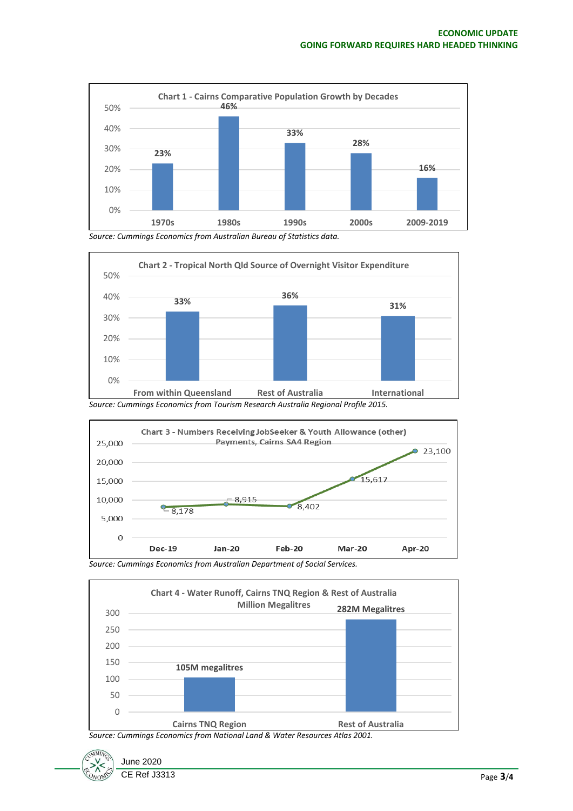

*Source: Cummings Economics from Australian Bureau of Statistics data.*





*Source: Cummings Economics from Australian Department of Social Services.*



*Source: Cummings Economics from National Land & Water Resources Atlas 2001.*